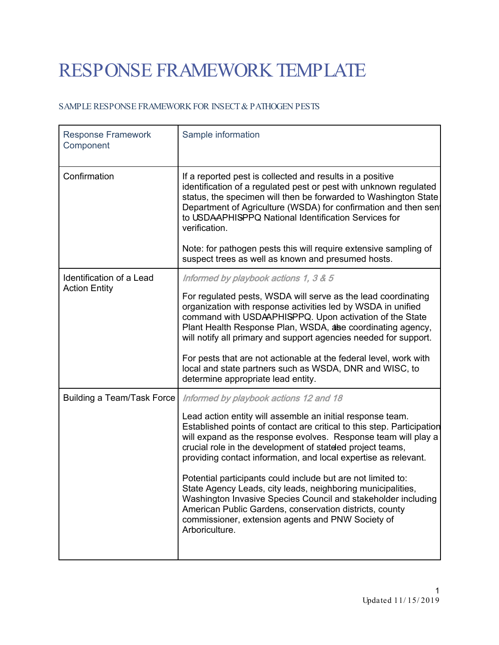## RESPONSE FRAMEWORK TEMPLATE

## SAMPLE RESPONSE FRAMEWORK FOR INSECT & PATHOGEN PESTS

| <b>Response Framework</b><br>Component           | Sample information                                                                                                                                                                                                                                                                                                                           |
|--------------------------------------------------|----------------------------------------------------------------------------------------------------------------------------------------------------------------------------------------------------------------------------------------------------------------------------------------------------------------------------------------------|
| Confirmation                                     | If a reported pest is collected and results in a positive<br>identification of a regulated pest or pest with unknown regulated<br>status, the specimen will then be forwarded to Washington State<br>Department of Agriculture (WSDA) for confirmation and then sen<br>to USDAAPHISPPQ National Identification Services for<br>verification. |
|                                                  | Note: for pathogen pests this will require extensive sampling of<br>suspect trees as well as known and presumed hosts.                                                                                                                                                                                                                       |
| Identification of a Lead<br><b>Action Entity</b> | Informed by playbook actions 1, 3 & 5                                                                                                                                                                                                                                                                                                        |
|                                                  | For regulated pests, WSDA will serve as the lead coordinating<br>organization with response activities led by WSDA in unified<br>command with USDAAPHISPPQ. Upon activation of the State<br>Plant Health Response Plan, WSDA, alse coordinating agency,<br>will notify all primary and support agencies needed for support.                  |
|                                                  | For pests that are not actionable at the federal level, work with<br>local and state partners such as WSDA, DNR and WISC, to<br>determine appropriate lead entity.                                                                                                                                                                           |
| <b>Building a Team/Task Force</b>                | Informed by playbook actions 12 and 18                                                                                                                                                                                                                                                                                                       |
|                                                  | Lead action entity will assemble an initial response team.<br>Established points of contact are critical to this step. Participation<br>will expand as the response evolves. Response team will play a<br>crucial role in the development of stateled project teams,<br>providing contact information, and local expertise as relevant.      |
|                                                  | Potential participants could include but are not limited to:<br>State Agency Leads, city leads, neighboring municipalities,<br>Washington Invasive Species Council and stakeholder including<br>American Public Gardens, conservation districts, county<br>commissioner, extension agents and PNW Society of<br>Arboriculture.               |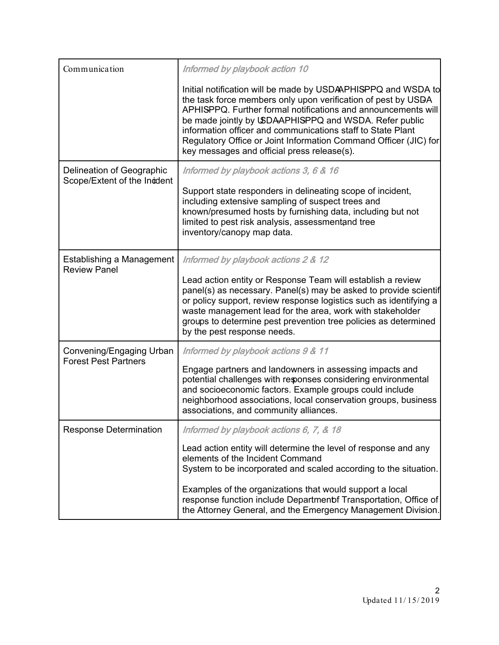| Communication                                             | Informed by playbook action 10                                                                                                                                                                                                                                                                                                                                                                                                             |
|-----------------------------------------------------------|--------------------------------------------------------------------------------------------------------------------------------------------------------------------------------------------------------------------------------------------------------------------------------------------------------------------------------------------------------------------------------------------------------------------------------------------|
|                                                           | Initial notification will be made by USDAPHISPPQ and WSDA to<br>the task force members only upon verification of pest by USDA<br>APHISPPQ. Further formal notifications and announcements will<br>be made jointly by USDAAPHISPPQ and WSDA. Refer public<br>information officer and communications staff to State Plant<br>Regulatory Office or Joint Information Command Officer (JIC) for<br>key messages and official press release(s). |
| Delineation of Geographic<br>Scope/Extent of the Incident | Informed by playbook actions 3, 6 & 16<br>Support state responders in delineating scope of incident,<br>including extensive sampling of suspect trees and<br>known/presumed hosts by furnishing data, including but not<br>limited to pest risk analysis, assessmentand tree<br>inventory/canopy map data.                                                                                                                                 |
| Establishing a Management<br><b>Review Panel</b>          | Informed by playbook actions 2 & 12<br>Lead action entity or Response Team will establish a review<br>panel(s) as necessary. Panel(s) may be asked to provide scientif<br>or policy support, review response logistics such as identifying a<br>waste management lead for the area, work with stakeholder<br>groups to determine pest prevention tree policies as determined<br>by the pest response needs.                                |
| Convening/Engaging Urban<br><b>Forest Pest Partners</b>   | Informed by playbook actions 9 & 11<br>Engage partners and landowners in assessing impacts and<br>potential challenges with responses considering environmental<br>and socioeconomic factors. Example groups could include<br>neighborhood associations, local conservation groups, business<br>associations, and community alliances.                                                                                                     |
| Response Determination                                    | Informed by playbook actions 6, 7, & 18                                                                                                                                                                                                                                                                                                                                                                                                    |
|                                                           | Lead action entity will determine the level of response and any<br>elements of the Incident Command<br>System to be incorporated and scaled according to the situation.                                                                                                                                                                                                                                                                    |
|                                                           | Examples of the organizations that would support a local<br>response function include Departmenbf Transportation, Office of<br>the Attorney General, and the Emergency Management Division.                                                                                                                                                                                                                                                |